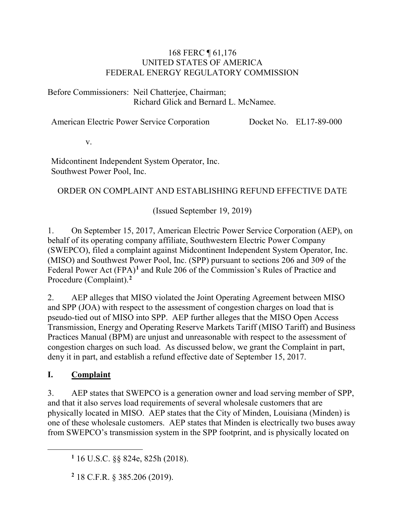#### 168 FERC ¶ 61,176 UNITED STATES OF AMERICA FEDERAL ENERGY REGULATORY COMMISSION

Before Commissioners: Neil Chatterjee, Chairman; Richard Glick and Bernard L. McNamee.

American Electric Power Service Corporation Docket No. EL17-89-000

v.

Midcontinent Independent System Operator, Inc. Southwest Power Pool, Inc.

### ORDER ON COMPLAINT AND ESTABLISHING REFUND EFFECTIVE DATE

(Issued September 19, 2019)

1. On September 15, 2017, American Electric Power Service Corporation (AEP), on behalf of its operating company affiliate, Southwestern Electric Power Company (SWEPCO), filed a complaint against Midcontinent Independent System Operator, Inc. (MISO) and Southwest Power Pool, Inc. (SPP) pursuant to sections 206 and 309 of the Federal Power Act (FPA)**[1](#page-0-0)** and Rule 206 of the Commission's Rules of Practice and Procedure (Complaint). **[2](#page-0-1)**

2. AEP alleges that MISO violated the Joint Operating Agreement between MISO and SPP (JOA) with respect to the assessment of congestion charges on load that is pseudo-tied out of MISO into SPP. AEP further alleges that the MISO Open Access Transmission, Energy and Operating Reserve Markets Tariff (MISO Tariff) and Business Practices Manual (BPM) are unjust and unreasonable with respect to the assessment of congestion charges on such load. As discussed below, we grant the Complaint in part, deny it in part, and establish a refund effective date of September 15, 2017.

#### **I. Complaint**

<span id="page-0-1"></span><span id="page-0-0"></span>

3. AEP states that SWEPCO is a generation owner and load serving member of SPP, and that it also serves load requirements of several wholesale customers that are physically located in MISO. AEP states that the City of Minden, Louisiana (Minden) is one of these wholesale customers. AEP states that Minden is electrically two buses away from SWEPCO's transmission system in the SPP footprint, and is physically located on

**<sup>2</sup>** 18 C.F.R. § 385.206 (2019).

**<sup>1</sup>** 16 U.S.C. §§ 824e, 825h (2018).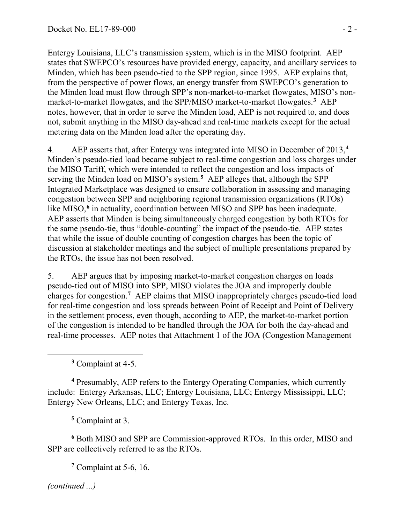Entergy Louisiana, LLC's transmission system, which is in the MISO footprint. AEP states that SWEPCO's resources have provided energy, capacity, and ancillary services to Minden, which has been pseudo-tied to the SPP region, since 1995. AEP explains that, from the perspective of power flows, an energy transfer from SWEPCO's generation to the Minden load must flow through SPP's non-market-to-market flowgates, MISO's nonmarket-to-market flowgates, and the SPP/MISO market-to-market flowgates.**[3](#page-1-0)** AEP notes, however, that in order to serve the Minden load, AEP is not required to, and does not, submit anything in the MISO day-ahead and real-time markets except for the actual metering data on the Minden load after the operating day.

4. AEP asserts that, after Entergy was integrated into MISO in December of 2013,**[4](#page-1-1)** Minden's pseudo-tied load became subject to real-time congestion and loss charges under the MISO Tariff, which were intended to reflect the congestion and loss impacts of serving the Minden load on MISO's system.**[5](#page-1-2)** AEP alleges that, although the SPP Integrated Marketplace was designed to ensure collaboration in assessing and managing congestion between SPP and neighboring regional transmission organizations (RTOs) like MISO, **[6](#page-1-3)** in actuality, coordination between MISO and SPP has been inadequate. AEP asserts that Minden is being simultaneously charged congestion by both RTOs for the same pseudo-tie, thus "double-counting" the impact of the pseudo-tie. AEP states that while the issue of double counting of congestion charges has been the topic of discussion at stakeholder meetings and the subject of multiple presentations prepared by the RTOs, the issue has not been resolved.

5. AEP argues that by imposing market-to-market congestion charges on loads pseudo-tied out of MISO into SPP, MISO violates the JOA and improperly double charges for congestion.**[7](#page-1-4)** AEP claims that MISO inappropriately charges pseudo-tied load for real-time congestion and loss spreads between Point of Receipt and Point of Delivery in the settlement process, even though, according to AEP, the market-to-market portion of the congestion is intended to be handled through the JOA for both the day-ahead and real-time processes. AEP notes that Attachment 1 of the JOA (Congestion Management

**<sup>3</sup>** Complaint at 4-5.

<span id="page-1-1"></span><span id="page-1-0"></span>**<sup>4</sup>** Presumably, AEP refers to the Entergy Operating Companies, which currently include: Entergy Arkansas, LLC; Entergy Louisiana, LLC; Entergy Mississippi, LLC; Entergy New Orleans, LLC; and Entergy Texas, Inc.

**<sup>5</sup>** Complaint at 3.

<span id="page-1-3"></span><span id="page-1-2"></span>**<sup>6</sup>** Both MISO and SPP are Commission-approved RTOs. In this order, MISO and SPP are collectively referred to as the RTOs.

**<sup>7</sup>** Complaint at 5-6, 16.

<span id="page-1-4"></span>*(continued ...)*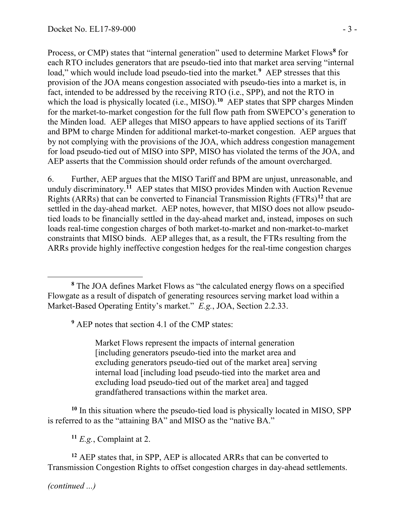Process, or CMP) states that "internal generation" used to determine Market Flows**[8](#page-2-0)** for each RTO includes generators that are pseudo-tied into that market area serving "internal load," which would include load pseudo-tied into the market.<sup>[9](#page-2-1)</sup> AEP stresses that this provision of the JOA means congestion associated with pseudo-ties into a market is, in fact, intended to be addressed by the receiving RTO (i.e., SPP), and not the RTO in which the load is physically located (i.e., MISO).<sup>[10](#page-2-2)</sup> AEP states that SPP charges Minden for the market-to-market congestion for the full flow path from SWEPCO's generation to the Minden load. AEP alleges that MISO appears to have applied sections of its Tariff and BPM to charge Minden for additional market-to-market congestion. AEP argues that by not complying with the provisions of the JOA, which address congestion management for load pseudo-tied out of MISO into SPP, MISO has violated the terms of the JOA, and AEP asserts that the Commission should order refunds of the amount overcharged.

6. Further, AEP argues that the MISO Tariff and BPM are unjust, unreasonable, and unduly discriminatory. **[11](#page-2-3)** AEP states that MISO provides Minden with Auction Revenue Rights (ARRs) that can be converted to Financial Transmission Rights (FTRs)**[12](#page-2-4)** that are settled in the day-ahead market. AEP notes, however, that MISO does not allow pseudotied loads to be financially settled in the day-ahead market and, instead, imposes on such loads real-time congestion charges of both market-to-market and non-market-to-market constraints that MISO binds. AEP alleges that, as a result, the FTRs resulting from the ARRs provide highly ineffective congestion hedges for the real-time congestion charges

**<sup>9</sup>** AEP notes that section 4.1 of the CMP states:

Market Flows represent the impacts of internal generation [including generators pseudo-tied into the market area and excluding generators pseudo-tied out of the market area] serving internal load [including load pseudo-tied into the market area and excluding load pseudo-tied out of the market area] and tagged grandfathered transactions within the market area.

<span id="page-2-2"></span>**<sup>10</sup>** In this situation where the pseudo-tied load is physically located in MISO, SPP is referred to as the "attaining BA" and MISO as the "native BA."

**<sup>11</sup>** *E.g.*, Complaint at 2.

<span id="page-2-4"></span><span id="page-2-3"></span>**<sup>12</sup>** AEP states that, in SPP, AEP is allocated ARRs that can be converted to Transmission Congestion Rights to offset congestion charges in day-ahead settlements.

*(continued ...)*

<span id="page-2-1"></span><span id="page-2-0"></span>**<sup>8</sup>** The JOA defines Market Flows as "the calculated energy flows on a specified Flowgate as a result of dispatch of generating resources serving market load within a Market-Based Operating Entity's market." *E.g.*, JOA, Section 2.2.33.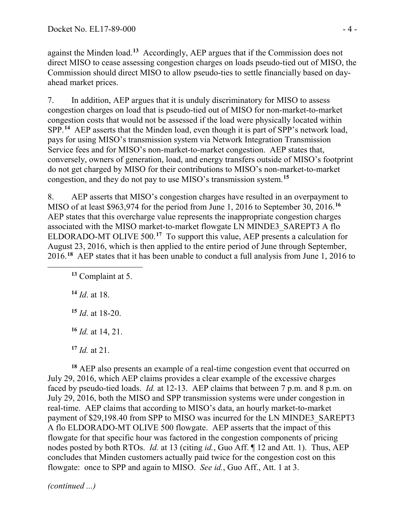against the Minden load.**[13](#page-3-0)** Accordingly, AEP argues that if the Commission does not direct MISO to cease assessing congestion charges on loads pseudo-tied out of MISO, the Commission should direct MISO to allow pseudo-ties to settle financially based on dayahead market prices.

7. In addition, AEP argues that it is unduly discriminatory for MISO to assess congestion charges on load that is pseudo-tied out of MISO for non-market-to-market congestion costs that would not be assessed if the load were physically located within SPP. **[14](#page-3-1)** AEP asserts that the Minden load, even though it is part of SPP's network load, pays for using MISO's transmission system via Network Integration Transmission Service fees and for MISO's non-market-to-market congestion. AEP states that, conversely, owners of generation, load, and energy transfers outside of MISO's footprint do not get charged by MISO for their contributions to MISO's non-market-to-market congestion, and they do not pay to use MISO's transmission system.**[15](#page-3-2)**

8. AEP asserts that MISO's congestion charges have resulted in an overpayment to MISO of at least \$963,974 for the period from June 1, 2016 to September 30, 2016.**[16](#page-3-3)** AEP states that this overcharge value represents the inappropriate congestion charges associated with the MISO market-to-market flowgate LN MINDE3\_SAREPT3 A flo ELDORADO-MT OLIVE 500.**[17](#page-3-4)** To support this value, AEP presents a calculation for August 23, 2016, which is then applied to the entire period of June through September, 2016. **[18](#page-3-5)** AEP states that it has been unable to conduct a full analysis from June 1, 2016 to

**<sup>13</sup>** Complaint at 5.

**<sup>14</sup>** *Id*. at 18.

<span id="page-3-2"></span><span id="page-3-1"></span><span id="page-3-0"></span> $\overline{a}$ 

**<sup>15</sup>** *Id*. at 18-20.

**<sup>16</sup>** *Id.* at 14, 21.

**<sup>17</sup>** *Id.* at 21.

<span id="page-3-5"></span><span id="page-3-4"></span><span id="page-3-3"></span>**<sup>18</sup>** AEP also presents an example of a real-time congestion event that occurred on July 29, 2016, which AEP claims provides a clear example of the excessive charges faced by pseudo-tied loads. *Id.* at 12-13. AEP claims that between 7 p.m. and 8 p.m. on July 29, 2016, both the MISO and SPP transmission systems were under congestion in real-time. AEP claims that according to MISO's data, an hourly market-to-market payment of \$29,198.40 from SPP to MISO was incurred for the LN MINDE3\_SAREPT3 A flo ELDORADO-MT OLIVE 500 flowgate. AEP asserts that the impact of this flowgate for that specific hour was factored in the congestion components of pricing nodes posted by both RTOs. *Id.* at 13 (citing *id.*, Guo Aff. ¶ 12 and Att. 1). Thus, AEP concludes that Minden customers actually paid twice for the congestion cost on this flowgate: once to SPP and again to MISO. *See id.*, Guo Aff., Att. 1 at 3.

*(continued ...)*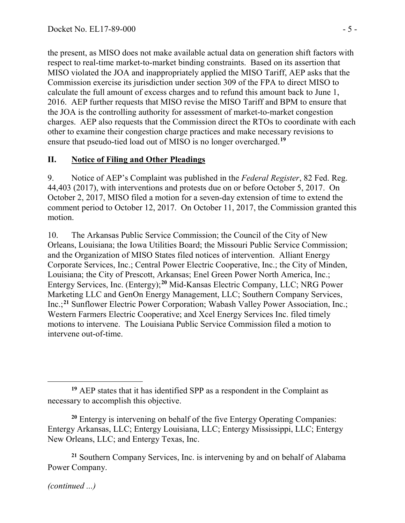the present, as MISO does not make available actual data on generation shift factors with respect to real-time market-to-market binding constraints. Based on its assertion that MISO violated the JOA and inappropriately applied the MISO Tariff, AEP asks that the Commission exercise its jurisdiction under section 309 of the FPA to direct MISO to calculate the full amount of excess charges and to refund this amount back to June 1, 2016. AEP further requests that MISO revise the MISO Tariff and BPM to ensure that the JOA is the controlling authority for assessment of market-to-market congestion charges. AEP also requests that the Commission direct the RTOs to coordinate with each other to examine their congestion charge practices and make necessary revisions to ensure that pseudo-tied load out of MISO is no longer overcharged.**[19](#page-4-0)**

#### **II. Notice of Filing and Other Pleadings**

9. Notice of AEP's Complaint was published in the *Federal Register*, 82 Fed. Reg. 44,403 (2017), with interventions and protests due on or before October 5, 2017. On October 2, 2017, MISO filed a motion for a seven-day extension of time to extend the comment period to October 12, 2017. On October 11, 2017, the Commission granted this motion.

10. The Arkansas Public Service Commission; the Council of the City of New Orleans, Louisiana; the Iowa Utilities Board; the Missouri Public Service Commission; and the Organization of MISO States filed notices of intervention. Alliant Energy Corporate Services, Inc.; Central Power Electric Cooperative, Inc.; the City of Minden, Louisiana; the City of Prescott, Arkansas; Enel Green Power North America, Inc.; Entergy Services, Inc. (Entergy);**[20](#page-4-1)** Mid-Kansas Electric Company, LLC; NRG Power Marketing LLC and GenOn Energy Management, LLC; Southern Company Services, Inc.;**[21](#page-4-2)** Sunflower Electric Power Corporation; Wabash Valley Power Association, Inc.; Western Farmers Electric Cooperative; and Xcel Energy Services Inc. filed timely motions to intervene. The Louisiana Public Service Commission filed a motion to intervene out-of-time.

<span id="page-4-2"></span>**<sup>21</sup>** Southern Company Services, Inc. is intervening by and on behalf of Alabama Power Company.

*(continued ...)*

<span id="page-4-0"></span> $\overline{a}$ **<sup>19</sup>** AEP states that it has identified SPP as a respondent in the Complaint as necessary to accomplish this objective.

<span id="page-4-1"></span>**<sup>20</sup>** Entergy is intervening on behalf of the five Entergy Operating Companies: Entergy Arkansas, LLC; Entergy Louisiana, LLC; Entergy Mississippi, LLC; Entergy New Orleans, LLC; and Entergy Texas, Inc.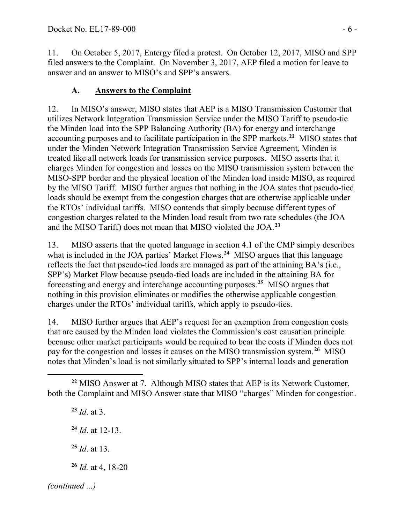11. On October 5, 2017, Entergy filed a protest. On October 12, 2017, MISO and SPP filed answers to the Complaint. On November 3, 2017, AEP filed a motion for leave to answer and an answer to MISO's and SPP's answers.

## **A. Answers to the Complaint**

12. In MISO's answer, MISO states that AEP is a MISO Transmission Customer that utilizes Network Integration Transmission Service under the MISO Tariff to pseudo-tie the Minden load into the SPP Balancing Authority (BA) for energy and interchange accounting purposes and to facilitate participation in the SPP markets. **[22](#page-5-0)** MISO states that under the Minden Network Integration Transmission Service Agreement, Minden is treated like all network loads for transmission service purposes. MISO asserts that it charges Minden for congestion and losses on the MISO transmission system between the MISO-SPP border and the physical location of the Minden load inside MISO, as required by the MISO Tariff. MISO further argues that nothing in the JOA states that pseudo-tied loads should be exempt from the congestion charges that are otherwise applicable under the RTOs' individual tariffs. MISO contends that simply because different types of congestion charges related to the Minden load result from two rate schedules (the JOA and the MISO Tariff) does not mean that MISO violated the JOA.**[23](#page-5-1)**

13. MISO asserts that the quoted language in section 4.1 of the CMP simply describes what is included in the JOA parties' Market Flows.<sup>[24](#page-5-2)</sup> MISO argues that this language reflects the fact that pseudo-tied loads are managed as part of the attaining BA's (i.e., SPP's) Market Flow because pseudo-tied loads are included in the attaining BA for forecasting and energy and interchange accounting purposes.**[25](#page-5-3)** MISO argues that nothing in this provision eliminates or modifies the otherwise applicable congestion charges under the RTOs' individual tariffs, which apply to pseudo-ties.

14. MISO further argues that AEP's request for an exemption from congestion costs that are caused by the Minden load violates the Commission's cost causation principle because other market participants would be required to bear the costs if Minden does not pay for the congestion and losses it causes on the MISO transmission system.**[26](#page-5-4)** MISO notes that Minden's load is not similarly situated to SPP's internal loads and generation

<span id="page-5-4"></span><span id="page-5-3"></span><span id="page-5-2"></span><span id="page-5-1"></span> *Id*. at 3. *Id*. at 12-13. *Id*. at 13. *Id.* at 4, 18-20 *(continued ...)*

<span id="page-5-0"></span> $\overline{a}$ **<sup>22</sup>** MISO Answer at 7. Although MISO states that AEP is its Network Customer, both the Complaint and MISO Answer state that MISO "charges" Minden for congestion.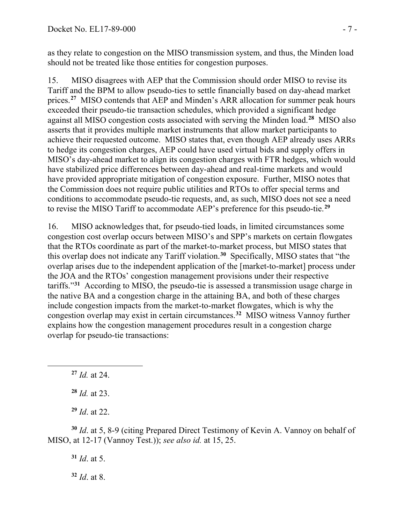as they relate to congestion on the MISO transmission system, and thus, the Minden load should not be treated like those entities for congestion purposes.

15. MISO disagrees with AEP that the Commission should order MISO to revise its Tariff and the BPM to allow pseudo-ties to settle financially based on day-ahead market prices.**[27](#page-6-0)** MISO contends that AEP and Minden's ARR allocation for summer peak hours exceeded their pseudo-tie transaction schedules, which provided a significant hedge against all MISO congestion costs associated with serving the Minden load.**[28](#page-6-1)** MISO also asserts that it provides multiple market instruments that allow market participants to achieve their requested outcome. MISO states that, even though AEP already uses ARRs to hedge its congestion charges, AEP could have used virtual bids and supply offers in MISO's day-ahead market to align its congestion charges with FTR hedges, which would have stabilized price differences between day-ahead and real-time markets and would have provided appropriate mitigation of congestion exposure. Further, MISO notes that the Commission does not require public utilities and RTOs to offer special terms and conditions to accommodate pseudo-tie requests, and, as such, MISO does not see a need to revise the MISO Tariff to accommodate AEP's preference for this pseudo-tie.**[29](#page-6-2)**

16. MISO acknowledges that, for pseudo-tied loads, in limited circumstances some congestion cost overlap occurs between MISO's and SPP's markets on certain flowgates that the RTOs coordinate as part of the market-to-market process, but MISO states that this overlap does not indicate any Tariff violation.**[30](#page-6-3)** Specifically, MISO states that "the overlap arises due to the independent application of the [market-to-market] process under the JOA and the RTOs' congestion management provisions under their respective tariffs."**[31](#page-6-4)** According to MISO, the pseudo-tie is assessed a transmission usage charge in the native BA and a congestion charge in the attaining BA, and both of these charges include congestion impacts from the market-to-market flowgates, which is why the congestion overlap may exist in certain circumstances.**[32](#page-6-5)** MISO witness Vannoy further explains how the congestion management procedures result in a congestion charge overlap for pseudo-tie transactions:

**<sup>27</sup>** *Id.* at 24.

<span id="page-6-1"></span><span id="page-6-0"></span> $\overline{a}$ 

**<sup>28</sup>** *Id.* at 23.

**<sup>29</sup>** *Id*. at 22.

<span id="page-6-5"></span><span id="page-6-4"></span><span id="page-6-3"></span><span id="page-6-2"></span>**<sup>30</sup>** *Id*. at 5, 8-9 (citing Prepared Direct Testimony of Kevin A. Vannoy on behalf of MISO, at 12-17 (Vannoy Test.)); *see also id.* at 15, 25.

**<sup>31</sup>** *Id*. at 5. **<sup>32</sup>** *Id*. at 8.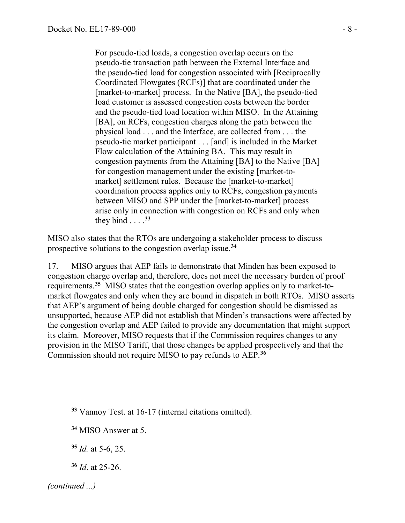For pseudo-tied loads, a congestion overlap occurs on the pseudo-tie transaction path between the External Interface and the pseudo-tied load for congestion associated with [Reciprocally Coordinated Flowgates (RCFs)] that are coordinated under the [market-to-market] process. In the Native [BA], the pseudo-tied load customer is assessed congestion costs between the border and the pseudo-tied load location within MISO. In the Attaining [BA], on RCFs, congestion charges along the path between the physical load . . . and the Interface, are collected from . . . the pseudo-tie market participant . . . [and] is included in the Market Flow calculation of the Attaining BA. This may result in congestion payments from the Attaining [BA] to the Native [BA] for congestion management under the existing [market-tomarket] settlement rules. Because the [market-to-market] coordination process applies only to RCFs, congestion payments between MISO and SPP under the [market-to-market] process arise only in connection with congestion on RCFs and only when they bind  $\ldots$  .<sup>[33](#page-7-0)</sup>

MISO also states that the RTOs are undergoing a stakeholder process to discuss prospective solutions to the congestion overlap issue.**[34](#page-7-1)**

17. MISO argues that AEP fails to demonstrate that Minden has been exposed to congestion charge overlap and, therefore, does not meet the necessary burden of proof requirements.**[35](#page-7-2)** MISO states that the congestion overlap applies only to market-tomarket flowgates and only when they are bound in dispatch in both RTOs. MISO asserts that AEP's argument of being double charged for congestion should be dismissed as unsupported, because AEP did not establish that Minden's transactions were affected by the congestion overlap and AEP failed to provide any documentation that might support its claim. Moreover, MISO requests that if the Commission requires changes to any provision in the MISO Tariff, that those changes be applied prospectively and that the Commission should not require MISO to pay refunds to AEP.**[36](#page-7-3)**

<span id="page-7-3"></span>**<sup>36</sup>** *Id*. at 25-26.

<span id="page-7-0"></span>**<sup>33</sup>** Vannoy Test. at 16-17 (internal citations omitted).

<span id="page-7-1"></span>**<sup>34</sup>** MISO Answer at 5.

<span id="page-7-2"></span>**<sup>35</sup>** *Id.* at 5-6, 25.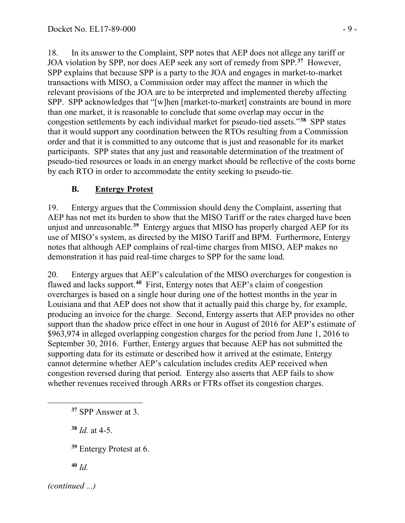18. In its answer to the Complaint, SPP notes that AEP does not allege any tariff or JOA violation by SPP, nor does AEP seek any sort of remedy from SPP.**[37](#page-8-0)** However, SPP explains that because SPP is a party to the JOA and engages in market-to-market transactions with MISO, a Commission order may affect the manner in which the relevant provisions of the JOA are to be interpreted and implemented thereby affecting SPP. SPP acknowledges that "[w]hen [market-to-market] constraints are bound in more than one market, it is reasonable to conclude that some overlap may occur in the congestion settlements by each individual market for pseudo-tied assets."**[38](#page-8-1)** SPP states that it would support any coordination between the RTOs resulting from a Commission order and that it is committed to any outcome that is just and reasonable for its market participants. SPP states that any just and reasonable determination of the treatment of pseudo-tied resources or loads in an energy market should be reflective of the costs borne by each RTO in order to accommodate the entity seeking to pseudo-tie.

## **B. Entergy Protest**

19. Entergy argues that the Commission should deny the Complaint, asserting that AEP has not met its burden to show that the MISO Tariff or the rates charged have been unjust and unreasonable.**[39](#page-8-2)** Entergy argues that MISO has properly charged AEP for its use of MISO's system, as directed by the MISO Tariff and BPM. Furthermore, Entergy notes that although AEP complains of real-time charges from MISO, AEP makes no demonstration it has paid real-time charges to SPP for the same load.

20. Entergy argues that AEP's calculation of the MISO overcharges for congestion is flawed and lacks support.**[40](#page-8-3)** First, Entergy notes that AEP's claim of congestion overcharges is based on a single hour during one of the hottest months in the year in Louisiana and that AEP does not show that it actually paid this charge by, for example, producing an invoice for the charge. Second, Entergy asserts that AEP provides no other support than the shadow price effect in one hour in August of 2016 for AEP's estimate of \$963,974 in alleged overlapping congestion charges for the period from June 1, 2016 to September 30, 2016. Further, Entergy argues that because AEP has not submitted the supporting data for its estimate or described how it arrived at the estimate, Entergy cannot determine whether AEP's calculation includes credits AEP received when congestion reversed during that period. Entergy also asserts that AEP fails to show whether revenues received through ARRs or FTRs offset its congestion charges.

<span id="page-8-1"></span>**<sup>38</sup>** *Id.* at 4-5.

**<sup>39</sup>** Entergy Protest at 6.

**<sup>40</sup>** *Id.*

<span id="page-8-3"></span><span id="page-8-2"></span>*(continued ...)*

<span id="page-8-0"></span>**<sup>37</sup>** SPP Answer at 3.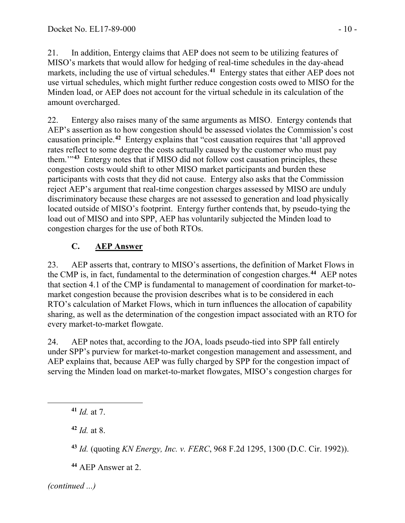21. In addition, Entergy claims that AEP does not seem to be utilizing features of MISO's markets that would allow for hedging of real-time schedules in the day-ahead markets, including the use of virtual schedules.**[41](#page-9-0)** Entergy states that either AEP does not use virtual schedules, which might further reduce congestion costs owed to MISO for the Minden load, or AEP does not account for the virtual schedule in its calculation of the amount overcharged.

22. Entergy also raises many of the same arguments as MISO. Entergy contends that AEP's assertion as to how congestion should be assessed violates the Commission's cost causation principle.**[42](#page-9-1)** Entergy explains that "cost causation requires that 'all approved rates reflect to some degree the costs actually caused by the customer who must pay them.'"**[43](#page-9-2)** Entergy notes that if MISO did not follow cost causation principles, these congestion costs would shift to other MISO market participants and burden these participants with costs that they did not cause. Entergy also asks that the Commission reject AEP's argument that real-time congestion charges assessed by MISO are unduly discriminatory because these charges are not assessed to generation and load physically located outside of MISO's footprint. Entergy further contends that, by pseudo-tying the load out of MISO and into SPP, AEP has voluntarily subjected the Minden load to congestion charges for the use of both RTOs.

# **C. AEP Answer**

23. AEP asserts that, contrary to MISO's assertions, the definition of Market Flows in the CMP is, in fact, fundamental to the determination of congestion charges. **[44](#page-9-3)** AEP notes that section 4.1 of the CMP is fundamental to management of coordination for market-tomarket congestion because the provision describes what is to be considered in each RTO's calculation of Market Flows, which in turn influences the allocation of capability sharing, as well as the determination of the congestion impact associated with an RTO for every market-to-market flowgate.

24. AEP notes that, according to the JOA, loads pseudo-tied into SPP fall entirely under SPP's purview for market-to-market congestion management and assessment, and AEP explains that, because AEP was fully charged by SPP for the congestion impact of serving the Minden load on market-to-market flowgates, MISO's congestion charges for

<span id="page-9-1"></span>**<sup>42</sup>** *Id.* at 8.

**<sup>43</sup>** *Id.* (quoting *KN Energy, Inc. v. FERC*, 968 F.2d 1295, 1300 (D.C. Cir. 1992)).

**<sup>44</sup>** AEP Answer at 2.

<span id="page-9-3"></span><span id="page-9-2"></span>*(continued ...)*

<span id="page-9-0"></span>**<sup>41</sup>** *Id.* at 7.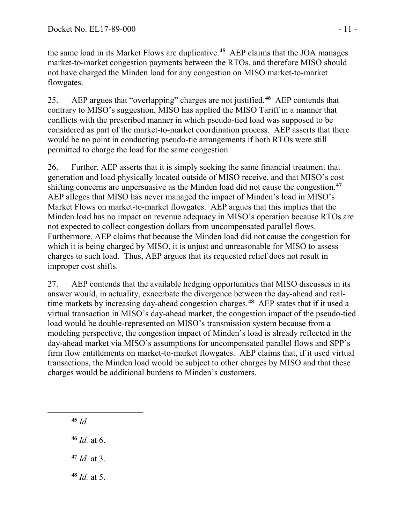the same load in its Market Flows are duplicative.**[45](#page-10-0)** AEP claims that the JOA manages market-to-market congestion payments between the RTOs, and therefore MISO should not have charged the Minden load for any congestion on MISO market-to-market flowgates.

25. AEP argues that "overlapping" charges are not justified.**[46](#page-10-1)** AEP contends that contrary to MISO's suggestion, MISO has applied the MISO Tariff in a manner that conflicts with the prescribed manner in which pseudo-tied load was supposed to be considered as part of the market-to-market coordination process. AEP asserts that there would be no point in conducting pseudo-tie arrangements if both RTOs were still permitted to charge the load for the same congestion.

26. Further, AEP asserts that it is simply seeking the same financial treatment that generation and load physically located outside of MISO receive, and that MISO's cost shifting concerns are unpersuasive as the Minden load did not cause the congestion.**[47](#page-10-2)** AEP alleges that MISO has never managed the impact of Minden's load in MISO's Market Flows on market-to-market flowgates. AEP argues that this implies that the Minden load has no impact on revenue adequacy in MISO's operation because RTOs are not expected to collect congestion dollars from uncompensated parallel flows. Furthermore, AEP claims that because the Minden load did not cause the congestion for which it is being charged by MISO, it is unjust and unreasonable for MISO to assess charges to such load. Thus, AEP argues that its requested relief does not result in improper cost shifts.

27. AEP contends that the available hedging opportunities that MISO discusses in its answer would, in actuality, exacerbate the divergence between the day-ahead and realtime markets by increasing day-ahead congestion charges. **[48](#page-10-3)** AEP states that if it used a virtual transaction in MISO's day-ahead market, the congestion impact of the pseudo-tied load would be double-represented on MISO's transmission system because from a modeling perspective, the congestion impact of Minden's load is already reflected in the day-ahead market via MISO's assumptions for uncompensated parallel flows and SPP's firm flow entitlements on market-to-market flowgates. AEP claims that, if it used virtual transactions, the Minden load would be subject to other charges by MISO and that these charges would be additional burdens to Minden's customers.

**<sup>45</sup>** *Id.*

<span id="page-10-2"></span><span id="page-10-1"></span><span id="page-10-0"></span> $\overline{a}$ 

**<sup>46</sup>** *Id.* at 6.

**<sup>47</sup>** *Id.* at 3.

<span id="page-10-3"></span>**<sup>48</sup>** *Id.* at 5.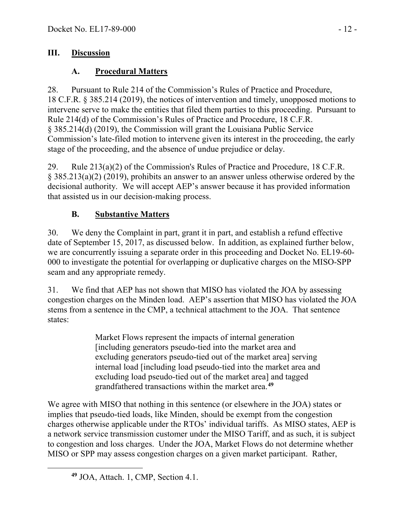### **III. Discussion**

## **A. Procedural Matters**

28. Pursuant to Rule 214 of the Commission's Rules of Practice and Procedure, 18 C.F.R. § 385.214 (2019), the notices of intervention and timely, unopposed motions to intervene serve to make the entities that filed them parties to this proceeding. Pursuant to Rule 214(d) of the Commission's Rules of Practice and Procedure, 18 C.F.R. § 385.214(d) (2019), the Commission will grant the Louisiana Public Service Commission's late-filed motion to intervene given its interest in the proceeding, the early stage of the proceeding, and the absence of undue prejudice or delay.

29. Rule 213(a)(2) of the Commission's Rules of Practice and Procedure, 18 C.F.R. § 385.213(a)(2) (2019), prohibits an answer to an answer unless otherwise ordered by the decisional authority. We will accept AEP's answer because it has provided information that assisted us in our decision-making process.

# **B. Substantive Matters**

30. We deny the Complaint in part, grant it in part, and establish a refund effective date of September 15, 2017, as discussed below. In addition, as explained further below, we are concurrently issuing a separate order in this proceeding and Docket No. EL19-60- 000 to investigate the potential for overlapping or duplicative charges on the MISO-SPP seam and any appropriate remedy.

31. We find that AEP has not shown that MISO has violated the JOA by assessing congestion charges on the Minden load. AEP's assertion that MISO has violated the JOA stems from a sentence in the CMP, a technical attachment to the JOA. That sentence states:

> Market Flows represent the impacts of internal generation [including generators pseudo-tied into the market area and excluding generators pseudo-tied out of the market area] serving internal load [including load pseudo-tied into the market area and excluding load pseudo-tied out of the market area] and tagged grandfathered transactions within the market area.**[49](#page-11-0)**

We agree with MISO that nothing in this sentence (or elsewhere in the JOA) states or implies that pseudo-tied loads, like Minden, should be exempt from the congestion charges otherwise applicable under the RTOs' individual tariffs. As MISO states, AEP is a network service transmission customer under the MISO Tariff, and as such, it is subject to congestion and loss charges. Under the JOA, Market Flows do not determine whether MISO or SPP may assess congestion charges on a given market participant. Rather,

<span id="page-11-0"></span>**<sup>49</sup>** JOA, Attach. 1, CMP, Section 4.1.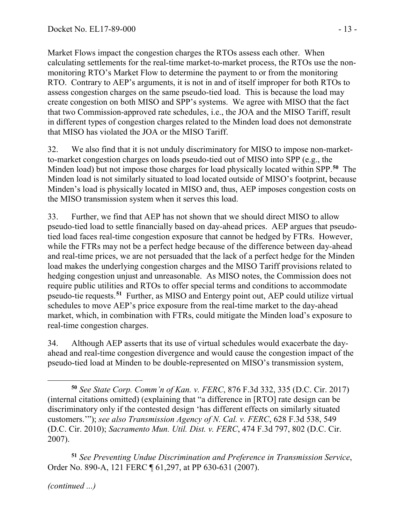Market Flows impact the congestion charges the RTOs assess each other. When calculating settlements for the real-time market-to-market process, the RTOs use the nonmonitoring RTO's Market Flow to determine the payment to or from the monitoring RTO. Contrary to AEP's arguments, it is not in and of itself improper for both RTOs to assess congestion charges on the same pseudo-tied load. This is because the load may create congestion on both MISO and SPP's systems. We agree with MISO that the fact that two Commission-approved rate schedules, i.e., the JOA and the MISO Tariff, result in different types of congestion charges related to the Minden load does not demonstrate that MISO has violated the JOA or the MISO Tariff.

32. We also find that it is not unduly discriminatory for MISO to impose non-marketto-market congestion charges on loads pseudo-tied out of MISO into SPP (e.g., the Minden load) but not impose those charges for load physically located within SPP.**[50](#page-12-0)** The Minden load is not similarly situated to load located outside of MISO's footprint, because Minden's load is physically located in MISO and, thus, AEP imposes congestion costs on the MISO transmission system when it serves this load.

33. Further, we find that AEP has not shown that we should direct MISO to allow pseudo-tied load to settle financially based on day-ahead prices. AEP argues that pseudotied load faces real-time congestion exposure that cannot be hedged by FTRs. However, while the FTRs may not be a perfect hedge because of the difference between day-ahead and real-time prices, we are not persuaded that the lack of a perfect hedge for the Minden load makes the underlying congestion charges and the MISO Tariff provisions related to hedging congestion unjust and unreasonable. As MISO notes, the Commission does not require public utilities and RTOs to offer special terms and conditions to accommodate pseudo-tie requests.**[51](#page-12-1)** Further, as MISO and Entergy point out, AEP could utilize virtual schedules to move AEP's price exposure from the real-time market to the day-ahead market, which, in combination with FTRs, could mitigate the Minden load's exposure to real-time congestion charges.

34. Although AEP asserts that its use of virtual schedules would exacerbate the dayahead and real-time congestion divergence and would cause the congestion impact of the pseudo-tied load at Minden to be double-represented on MISO's transmission system,

<span id="page-12-1"></span>**<sup>51</sup>** *See Preventing Undue Discrimination and Preference in Transmission Service*, Order No. 890-A, 121 FERC ¶ 61,297, at PP 630-631 (2007).

*(continued ...)*

<span id="page-12-0"></span> $\overline{a}$ **<sup>50</sup>** *See State Corp. Comm'n of Kan. v. FERC*, 876 F.3d 332, 335 (D.C. Cir. 2017) (internal citations omitted) (explaining that "a difference in [RTO] rate design can be discriminatory only if the contested design 'has different effects on similarly situated customers.'"); *see also Transmission Agency of N. Cal. v. FERC*, 628 F.3d 538, 549 (D.C. Cir. 2010); *Sacramento Mun. Util. Dist. v. FERC*, 474 F.3d 797, 802 (D.C. Cir. 2007).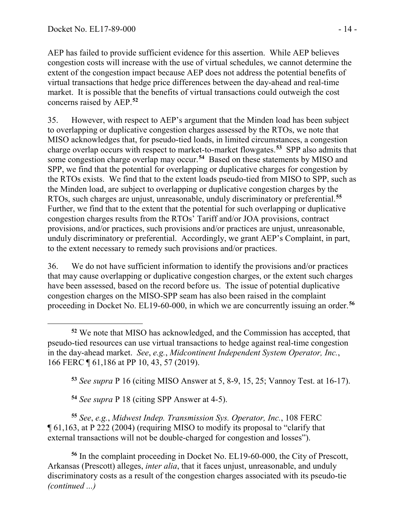AEP has failed to provide sufficient evidence for this assertion. While AEP believes congestion costs will increase with the use of virtual schedules, we cannot determine the extent of the congestion impact because AEP does not address the potential benefits of virtual transactions that hedge price differences between the day-ahead and real-time market. It is possible that the benefits of virtual transactions could outweigh the cost concerns raised by AEP. **[52](#page-13-0)**

35. However, with respect to AEP's argument that the Minden load has been subject to overlapping or duplicative congestion charges assessed by the RTOs, we note that MISO acknowledges that, for pseudo-tied loads, in limited circumstances, a congestion charge overlap occurs with respect to market-to-market flowgates.**[53](#page-13-1)** SPP also admits that some congestion charge overlap may occur.**[54](#page-13-2)** Based on these statements by MISO and SPP, we find that the potential for overlapping or duplicative charges for congestion by the RTOs exists. We find that to the extent loads pseudo-tied from MISO to SPP, such as the Minden load, are subject to overlapping or duplicative congestion charges by the RTOs, such charges are unjust, unreasonable, unduly discriminatory or preferential. **[55](#page-13-3)** Further, we find that to the extent that the potential for such overlapping or duplicative congestion charges results from the RTOs' Tariff and/or JOA provisions, contract provisions, and/or practices, such provisions and/or practices are unjust, unreasonable, unduly discriminatory or preferential. Accordingly, we grant AEP's Complaint, in part, to the extent necessary to remedy such provisions and/or practices.

36. We do not have sufficient information to identify the provisions and/or practices that may cause overlapping or duplicative congestion charges, or the extent such charges have been assessed, based on the record before us. The issue of potential duplicative congestion charges on the MISO-SPP seam has also been raised in the complaint proceeding in Docket No. EL19-60-000, in which we are concurrently issuing an order. **[56](#page-13-4)**

**<sup>53</sup>** *See supra* P 16 (citing MISO Answer at 5, 8-9, 15, 25; Vannoy Test. at 16-17).

**<sup>54</sup>** *See supra* P 18 (citing SPP Answer at 4-5).

<span id="page-13-3"></span><span id="page-13-2"></span><span id="page-13-1"></span>**<sup>55</sup>** *See*, *e.g.*, *Midwest Indep. Transmission Sys. Operator, Inc.*, 108 FERC ¶ 61,163, at P 222 (2004) (requiring MISO to modify its proposal to "clarify that external transactions will not be double-charged for congestion and losses").

<span id="page-13-4"></span>**<sup>56</sup>** In the complaint proceeding in Docket No. EL19-60-000, the City of Prescott, Arkansas (Prescott) alleges, *inter alia*, that it faces unjust, unreasonable, and unduly discriminatory costs as a result of the congestion charges associated with its pseudo-tie *(continued ...)*

<span id="page-13-0"></span> $\overline{a}$ **<sup>52</sup>** We note that MISO has acknowledged, and the Commission has accepted, that pseudo-tied resources can use virtual transactions to hedge against real-time congestion in the day-ahead market. *See*, *e.g.*, *Midcontinent Independent System Operator, Inc.*, 166 FERC ¶ 61,186 at PP 10, 43, 57 (2019).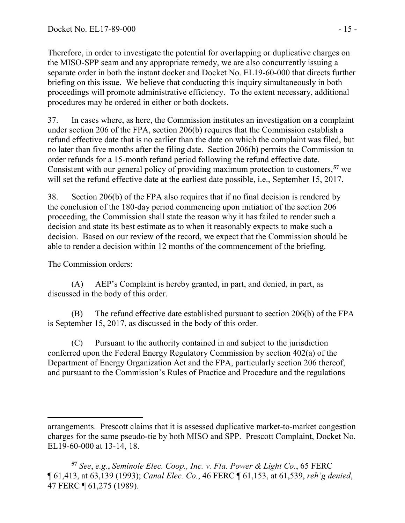Therefore, in order to investigate the potential for overlapping or duplicative charges on the MISO-SPP seam and any appropriate remedy, we are also concurrently issuing a separate order in both the instant docket and Docket No. EL19-60-000 that directs further briefing on this issue. We believe that conducting this inquiry simultaneously in both proceedings will promote administrative efficiency. To the extent necessary, additional procedures may be ordered in either or both dockets.

37. In cases where, as here, the Commission institutes an investigation on a complaint under section 206 of the FPA, section 206(b) requires that the Commission establish a refund effective date that is no earlier than the date on which the complaint was filed, but no later than five months after the filing date. Section 206(b) permits the Commission to order refunds for a 15-month refund period following the refund effective date. Consistent with our general policy of providing maximum protection to customers,**[57](#page-14-0)** we will set the refund effective date at the earliest date possible, i.e., September 15, 2017.

38. Section 206(b) of the FPA also requires that if no final decision is rendered by the conclusion of the 180-day period commencing upon initiation of the section 206 proceeding, the Commission shall state the reason why it has failed to render such a decision and state its best estimate as to when it reasonably expects to make such a decision. Based on our review of the record, we expect that the Commission should be able to render a decision within 12 months of the commencement of the briefing.

## The Commission orders:

 $\overline{a}$ 

(A) AEP's Complaint is hereby granted, in part, and denied, in part, as discussed in the body of this order.

(B) The refund effective date established pursuant to section 206(b) of the FPA is September 15, 2017, as discussed in the body of this order.

(C) Pursuant to the authority contained in and subject to the jurisdiction conferred upon the Federal Energy Regulatory Commission by section 402(a) of the Department of Energy Organization Act and the FPA, particularly section 206 thereof, and pursuant to the Commission's Rules of Practice and Procedure and the regulations

arrangements. Prescott claims that it is assessed duplicative market-to-market congestion charges for the same pseudo-tie by both MISO and SPP. Prescott Complaint, Docket No. EL19-60-000 at 13-14, 18.

<span id="page-14-0"></span>**<sup>57</sup>** *See*, *e.g.*, *Seminole Elec. Coop., Inc. v. Fla. Power & Light Co.*, 65 FERC ¶ 61,413, at 63,139 (1993); *Canal Elec. Co.*, 46 FERC ¶ 61,153, at 61,539, *reh'g denied*, 47 FERC ¶ 61,275 (1989).